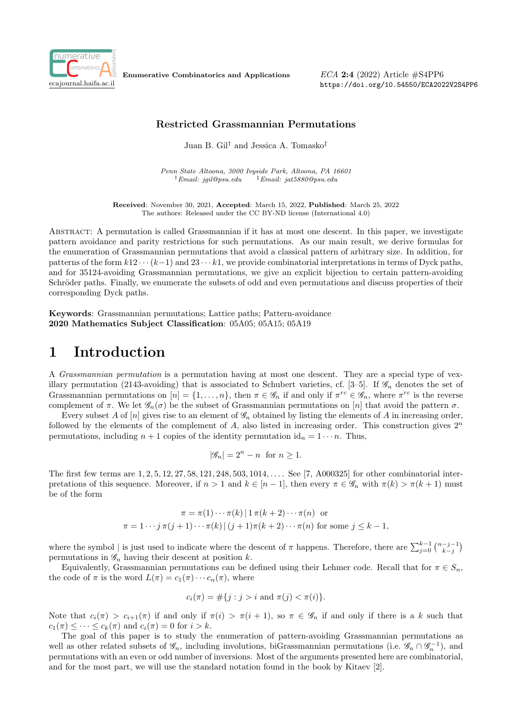

Enumerative Combinatorics and Applications

 $ECA$  2:4 (2022) Article  $\#S4PP6$ https://doi.org/10.54550/ECA2022V2S4PP6

#### Restricted Grassmannian Permutations

Juan B. Gil† and Jessica A. Tomasko‡

Penn State Altoona, 3000 Ivyside Park, Altoona, PA 16601  $\dagger$ Email: jgil@psu.edu  $\dagger$ Email: jat5880@psu.edu

Received: November 30, 2021, Accepted: March 15, 2022, Published: March 25, 2022 The authors: Released under the CC BY-ND license (International 4.0)

Abstract: A permutation is called Grassmannian if it has at most one descent. In this paper, we investigate pattern avoidance and parity restrictions for such permutations. As our main result, we derive formulas for the enumeration of Grassmannian permutations that avoid a classical pattern of arbitrary size. In addition, for patterns of the form  $k12 \cdots (k-1)$  and  $23 \cdots k1$ , we provide combinatorial interpretations in terms of Dyck paths, and for 35124-avoiding Grassmannian permutations, we give an explicit bijection to certain pattern-avoiding Schröder paths. Finally, we enumerate the subsets of odd and even permutations and discuss properties of their corresponding Dyck paths.

Keywords: Grassmannian permutations; Lattice paths; Pattern-avoidance 2020 Mathematics Subject Classification: 05A05; 05A15; 05A19

#### 1 Introduction

A Grassmannian permutation is a permutation having at most one descent. They are a special type of vexillary permutation (2143-avoiding) that is associated to Schubert varieties, cf. [3–5]. If  $\mathcal{G}_n$  denotes the set of Grassmannian permutations on  $[n] = \{1, \ldots, n\}$ , then  $\pi \in \mathscr{G}_n$  if and only if  $\pi^{rc} \in \mathscr{G}_n$ , where  $\pi^{rc}$  is the reverse complement of  $\pi$ . We let  $\mathscr{G}_n(\sigma)$  be the subset of Grassmannian permutations on  $[n]$  that avoid the pattern  $\sigma$ .

Every subset A of  $[n]$  gives rise to an element of  $\mathscr{G}_n$  obtained by listing the elements of A in increasing order, followed by the elements of the complement of A, also listed in increasing order. This construction gives  $2^n$ permutations, including  $n + 1$  copies of the identity permutation  $id_n = 1 \cdots n$ . Thus,

$$
|\mathscr{G}_n| = 2^n - n \text{ for } n \ge 1.
$$

The first few terms are 1, 2, 5, 12, 27, 58, 121, 248, 503, 1014, .... See [7, A000325] for other combinatorial interpretations of this sequence. Moreover, if  $n > 1$  and  $k \in [n-1]$ , then every  $\pi \in \mathscr{G}_n$  with  $\pi(k) > \pi(k+1)$  must be of the form

$$
\pi = \pi(1) \cdots \pi(k) | 1 \pi(k+2) \cdots \pi(n) \text{ or}
$$

$$
\pi = 1 \cdots j \pi(j+1) \cdots \pi(k) | (j+1) \pi(k+2) \cdots \pi(n) \text{ for some } j \leq k-1,
$$

where the symbol | is just used to indicate where the descent of  $\pi$  happens. Therefore, there are  $\sum_{j=0}^{k-1} \binom{n-j-1}{k-j}$ permutations in  $\mathscr{G}_n$  having their descent at position k.

Equivalently, Grassmannian permutations can be defined using their Lehmer code. Recall that for  $\pi \in S_n$ , the code of  $\pi$  is the word  $L(\pi) = c_1(\pi) \cdots c_n(\pi)$ , where

$$
c_i(\pi) = \#\{j : j > i \text{ and } \pi(j) < \pi(i)\}.
$$

Note that  $c_i(\pi) > c_{i+1}(\pi)$  if and only if  $\pi(i) > \pi(i+1)$ , so  $\pi \in \mathscr{G}_n$  if and only if there is a k such that  $c_1(\pi) \leq \cdots \leq c_k(\pi)$  and  $c_i(\pi) = 0$  for  $i > k$ .

The goal of this paper is to study the enumeration of pattern-avoiding Grassmannian permutations as well as other related subsets of  $\mathscr{G}_n$ , including involutions, biGrassmannian permutations (i.e.  $\mathscr{G}_n \cap \mathscr{G}_n^{-1}$ ), and permutations with an even or odd number of inversions. Most of the arguments presented here are combinatorial, and for the most part, we will use the standard notation found in the book by Kitaev [2].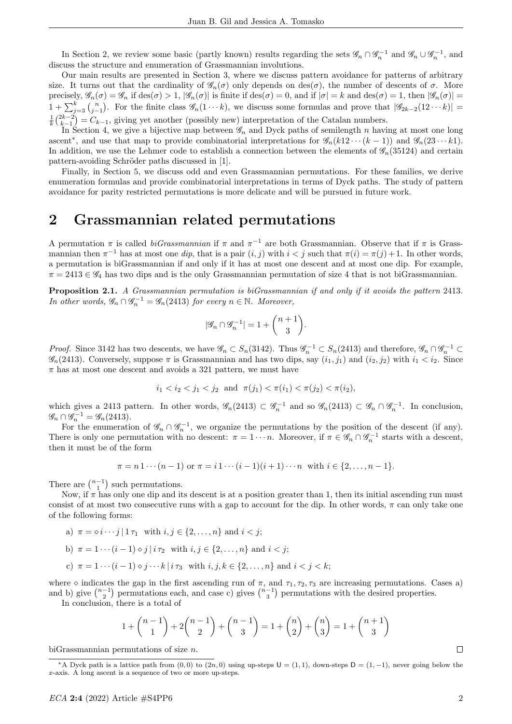In Section 2, we review some basic (partly known) results regarding the sets  $\mathscr{G}_n \cap \mathscr{G}_n^{-1}$  and  $\mathscr{G}_n \cup \mathscr{G}_n^{-1}$ , and discuss the structure and enumeration of Grassmannian involutions.

Our main results are presented in Section 3, where we discuss pattern avoidance for patterns of arbitrary size. It turns out that the cardinality of  $\mathscr{G}_n(\sigma)$  only depends on des $(\sigma)$ , the number of descents of  $\sigma$ . More precisely,  $\mathscr{G}_n(\sigma) = \mathscr{G}_n$  if  $\text{des}(\sigma) > 1$ ,  $|\mathscr{G}_n(\sigma)|$  is finite if  $\text{des}(\sigma) = 0$ , and if  $|\sigma| = k$  and  $\text{des}(\sigma) = 1$ , then  $|\mathscr{G}_n(\sigma)| = 1$  $1 + \sum_{j=3}^{k} {n \choose j-1}$ . For the finite class  $\mathscr{G}_n(1 \cdots k)$ , we discuss some formulas and prove that  $|\mathscr{G}_{2k-2}(12 \cdots k)|$  $\frac{1}{k} {2k-2 \choose k-1} = C_{k-1}$ , giving yet another (possibly new) interpretation of the Catalan numbers.

In Section 4, we give a bijective map between  $\mathscr{G}_n$  and Dyck paths of semilength n having at most one long ascent<sup>\*</sup>, and use that map to provide combinatorial interpretations for  $\mathscr{G}_n(k12\cdots(k-1))$  and  $\mathscr{G}_n(23\cdots k1)$ . In addition, we use the Lehmer code to establish a connection between the elements of  $\mathscr{G}_n(35124)$  and certain pattern-avoiding Schröder paths discussed in [1].

Finally, in Section 5, we discuss odd and even Grassmannian permutations. For these families, we derive enumeration formulas and provide combinatorial interpretations in terms of Dyck paths. The study of pattern avoidance for parity restricted permutations is more delicate and will be pursued in future work.

## 2 Grassmannian related permutations

A permutation  $\pi$  is called *biGrassmannian* if  $\pi$  and  $\pi^{-1}$  are both Grassmannian. Observe that if  $\pi$  is Grassmannian then  $\pi^{-1}$  has at most one dip, that is a pair  $(i, j)$  with  $i < j$  such that  $\pi(i) = \pi(j) + 1$ . In other words, a permutation is biGrassmannian if and only if it has at most one descent and at most one dip. For example,  $\pi = 2413 \in \mathscr{G}_4$  has two dips and is the only Grassmannian permutation of size 4 that is not biGrassmannian.

Proposition 2.1. A Grassmannian permutation is biGrassmannian if and only if it avoids the pattern 2413. In other words,  $\mathscr{G}_n \cap \mathscr{G}_n^{-1} = \mathscr{G}_n(2413)$  for every  $n \in \mathbb{N}$ . Moreover,

$$
|\mathscr{G}_n \cap \mathscr{G}_n^{-1}| = 1 + \binom{n+1}{3}.
$$

*Proof.* Since 3142 has two descents, we have  $\mathscr{G}_n \subset S_n(3142)$ . Thus  $\mathscr{G}_n^{-1} \subset S_n(2413)$  and therefore,  $\mathscr{G}_n \cap \mathscr{G}_n^{-1} \subset$  $\mathscr{G}_n(2413)$ . Conversely, suppose  $\pi$  is Grassmannian and has two dips, say  $(i_1, j_1)$  and  $(i_2, j_2)$  with  $i_1 < i_2$ . Since  $\pi$  has at most one descent and avoids a 321 pattern, we must have

$$
i_1 < i_2 < j_1 < j_2
$$
 and  $\pi(j_1) < \pi(i_1) < \pi(j_2) < \pi(i_2)$ ,

which gives a 2413 pattern. In other words,  $\mathscr{G}_n(2413) \subset \mathscr{G}_n^{-1}$  and so  $\mathscr{G}_n(2413) \subset \mathscr{G}_n \cap \mathscr{G}_n^{-1}$ . In conclusion,  $\mathscr{G}_n \cap \mathscr{G}_n^{-1} = \mathscr{G}_n(2413).$ 

For the enumeration of  $\mathscr{G}_n \cap \mathscr{G}_n^{-1}$ , we organize the permutations by the position of the descent (if any). There is only one permutation with no descent:  $\pi = 1 \cdots n$ . Moreover, if  $\pi \in \mathscr{G}_n \cap \mathscr{G}_n^{-1}$  starts with a descent, then it must be of the form

$$
\pi = n 1 \cdots (n-1)
$$
 or  $\pi = i 1 \cdots (i-1)(i+1) \cdots n$  with  $i \in \{2, \ldots, n-1\}$ .

There are  $\binom{n-1}{1}$  such permutations.

Now, if  $\pi$  has only one dip and its descent is at a position greater than 1, then its initial ascending run must consist of at most two consecutive runs with a gap to account for the dip. In other words,  $\pi$  can only take one of the following forms:

a)  $\pi = \circ i \cdots j \mid 1 \tau_1$  with  $i, j \in \{2, ..., n\}$  and  $i < j$ ; b)  $\pi = 1 \cdots (i-1) \diamond j \mid i \tau_2 \text{ with } i, j \in \{2, \ldots, n\} \text{ and } i < j;$ c)  $\pi = 1 \cdots (i-1) \diamond j \cdots k \mid i \tau_3$  with  $i, j, k \in \{2, \ldots, n\}$  and  $i < j < k$ ;

where  $\diamond$  indicates the gap in the first ascending run of  $\pi$ , and  $\tau_1, \tau_2, \tau_3$  are increasing permutations. Cases a) and b) give  $\binom{n-1}{2}$  permutations each, and case c) gives  $\binom{n-1}{3}$  permutations with the desired properties.

In conclusion, there is a total of

$$
1 + {n-1 \choose 1} + 2{n-1 \choose 2} + {n-1 \choose 3} = 1 + {n \choose 2} + {n \choose 3} = 1 + {n+1 \choose 3}
$$

biGrassmannian permutations of size n.

<sup>&</sup>lt;sup>\*</sup>A Dyck path is a lattice path from  $(0,0)$  to  $(2n,0)$  using up-steps **, down-steps**  $**D** = (1,-1)$ **, never going below the** x-axis. A long ascent is a sequence of two or more up-steps.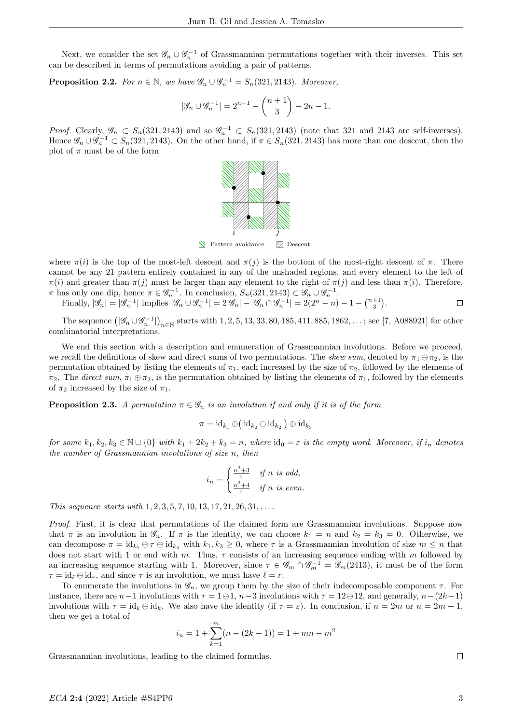Next, we consider the set  $\mathscr{G}_n \cup \mathscr{G}_n^{-1}$  of Grassmannian permutations together with their inverses. This set can be described in terms of permutations avoiding a pair of patterns.

**Proposition 2.2.** For  $n \in \mathbb{N}$ , we have  $\mathscr{G}_n \cup \mathscr{G}_n^{-1} = S_n(321, 2143)$ . Moreover,

$$
|\mathcal{G}_n \cup \mathcal{G}_n^{-1}| = 2^{n+1} - \binom{n+1}{3} - 2n - 1.
$$

*Proof.* Clearly,  $\mathscr{G}_n \subset S_n(321, 2143)$  and so  $\mathscr{G}_n^{-1} \subset S_n(321, 2143)$  (note that 321 and 2143 are self-inverses). Hence  $\mathscr{G}_n \cup \mathscr{G}_n^{-1} \subset S_n(321, 2143)$ . On the other hand, if  $\pi \in S_n(321, 2143)$  has more than one descent, then the plot of  $\pi$  must be of the form



**N** Pattern avoidance **Z** Descent

where  $\pi(i)$  is the top of the most-left descent and  $\pi(i)$  is the bottom of the most-right descent of  $\pi$ . There cannot be any 21 pattern entirely contained in any of the unshaded regions, and every element to the left of  $\pi(i)$  and greater than  $\pi(j)$  must be larger than any element to the right of  $\pi(j)$  and less than  $\pi(i)$ . Therefore,  $\pi$  has only one dip, hence  $\pi \in \mathscr{G}_n^{-1}$ . In conclusion,  $S_n(321, 2143) \subset \mathscr{G}_n \cup \mathscr{G}_n^{-1}$ .

Finally,  $|\mathscr{G}_n| = |\mathscr{G}_n^{-1}|$  implies  $|\mathscr{G}_n \cup \mathscr{G}_n^{-1}| = 2|\mathscr{G}_n| - |\mathscr{G}_n \cap \mathscr{G}_n^{-1}| = 2(2^n - n) - 1 - \binom{n+1}{3}$ .  $\Box$ 

The sequence  $(|\mathscr{G}_n \cup \mathscr{G}_n^{-1}|)_{n \in \mathbb{N}}$  starts with 1, 2, 5, 13, 33, 80, 185, 411, 885, 1862, ...; see [7, A088921] for other combinatorial interpretations.

We end this section with a description and enumeration of Grassmannian involutions. Before we proceed, we recall the definitions of skew and direct sums of two permutations. The skew sum, denoted by  $\pi_1 \ominus \pi_2$ , is the permutation obtained by listing the elements of  $\pi_1$ , each increased by the size of  $\pi_2$ , followed by the elements of  $\pi_2$ . The direct sum,  $\pi_1 \oplus \pi_2$ , is the permutation obtained by listing the elements of  $\pi_1$ , followed by the elements of  $\pi_2$  increased by the size of  $\pi_1$ .

**Proposition 2.3.** A permutation  $\pi \in \mathscr{G}_n$  is an involution if and only if it is of the form

$$
\pi = \mathrm{id}_{k_1} \oplus \big(\operatorname{id}_{k_2} \ominus \operatorname{id}_{k_2}\big) \oplus \operatorname{id}_{k_3}
$$

for some  $k_1, k_2, k_3 \in \mathbb{N} \cup \{0\}$  with  $k_1 + 2k_2 + k_3 = n$ , where  $\mathrm{id}_0 = \varepsilon$  is the empty word. Moreover, if  $i_n$  denotes the number of Grassmannian involutions of size n, then

$$
i_n = \begin{cases} \frac{n^2+3}{4} & \text{if } n \text{ is odd,} \\ \frac{n^2+4}{4} & \text{if } n \text{ is even.} \end{cases}
$$

This sequence starts with  $1, 2, 3, 5, 7, 10, 13, 17, 21, 26, 31, \ldots$ .

Proof. First, it is clear that permutations of the claimed form are Grassmannian involutions. Suppose now that  $\pi$  is an involution in  $\mathscr{G}_n$ . If  $\pi$  is the identity, we can choose  $k_1 = n$  and  $k_2 = k_3 = 0$ . Otherwise, we can decompose  $\pi = id_{k_1} \oplus \tau \oplus id_{k_3}$  with  $k_1, k_3 \geq 0$ , where  $\tau$  is a Grassmannian involution of size  $m \leq n$  that does not start with 1 or end with m. Thus,  $\tau$  consists of an increasing sequence ending with m followed by an increasing sequence starting with 1. Moreover, since  $\tau \in \mathscr{G}_m \cap \mathscr{G}_m^{-1} = \mathscr{G}_m(2413)$ , it must be of the form  $\tau = id_{\ell} \ominus id_r$ , and since  $\tau$  is an involution, we must have  $\ell = r$ .

To enumerate the involutions in  $\mathcal{G}_n$ , we group them by the size of their indecomposable component  $\tau$ . For instance, there are  $n-1$  involutions with  $\tau = 1 \ominus 1$ ,  $n-3$  involutions with  $\tau = 12 \ominus 12$ , and generally,  $n-(2k-1)$ involutions with  $\tau = id_k \ominus id_k$ . We also have the identity (if  $\tau = \varepsilon$ ). In conclusion, if  $n = 2m$  or  $n = 2m + 1$ , then we get a total of

$$
i_n = 1 + \sum_{k=1}^{m} (n - (2k - 1)) = 1 + mn - m^2
$$

Grassmannian involutions, leading to the claimed formulas.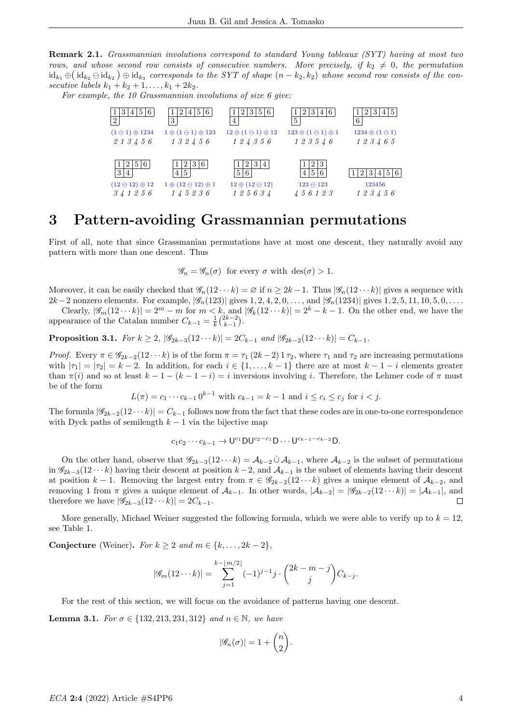Remark 2.1. Grassmannian involutions correspond to standard Young tableaux (SYT) having at most two rows, and whose second row consists of consecutive numbers. More precisely, if  $k_2 \neq 0$ , the permutation  $\mathrm{id}_{k_1}\oplus\big(\mathrm{id}_{k_2}\ominus\mathrm{id}_{k_3}\big) \oplus \mathrm{id}_{k_3}$  corresponds to the SYT of shape  $(n-k_2,k_2)$  whose second row consists of the consecutive labels  $k_1 + k_2 + 1, ..., k_1 + 2k_2$ .

For example, the 10 Grassmannian involutions of size 6 give:



# 3 Pattern-avoiding Grassmannian permutations

First of all, note that since Grassmanian permutations have at most one descent, they naturally avoid any pattern with more than one descent. Thus

 $\mathscr{G}_n = \mathscr{G}_n(\sigma)$  for every  $\sigma$  with  $\text{des}(\sigma) > 1$ .

Moreover, it can be easily checked that  $\mathscr{G}_n(12 \cdots k) = \emptyset$  if  $n \geq 2k - 1$ . Thus  $|\mathscr{G}_n(12 \cdots k)|$  gives a sequence with  $2k-2$  nonzero elements. For example,  $|\mathscr{G}_n(123)|$  gives  $1, 2, 4, 2, 0, \ldots$ , and  $|\mathscr{G}_n(1234)|$  gives  $1, 2, 5, 11, 10, 5, 0, \ldots$ 

Clearly,  $|\mathscr{G}_m(12\cdots k)|=2^m-m$  for  $m < k$ , and  $|\mathscr{G}_k(12\cdots k)|=2^k-k-1$ . On the other end, we have the appearance of the Catalan number  $C_{k-1} = \frac{1}{k} {2k-2 \choose k-1}$ .

Proposition 3.1. For  $k \geq 2$ ,  $|\mathscr{G}_{2k-3}(12 \cdots k)| = 2C_{k-1}$  and  $|\mathscr{G}_{2k-2}(12 \cdots k)| = C_{k-1}$ .

Proof. Every  $\pi \in \mathscr{G}_{2k-2}(12 \cdots k)$  is of the form  $\pi = \tau_1 (2k-2) 1 \tau_2$ , where  $\tau_1$  and  $\tau_2$  are increasing permutations with  $|\tau_1| = |\tau_2| = k - 2$ . In addition, for each  $i \in \{1, ..., k - 1\}$  there are at most  $k - 1 - i$  elements greater than  $\pi(i)$  and so at least  $k-1-(k-1-i) = i$  inversions involving i. Therefore, the Lehmer code of  $\pi$  must be of the form

 $L(\pi) = c_1 \cdots c_{k-1} 0^{k-1}$  with  $c_{k-1} = k-1$  and  $i \leq c_i \leq c_j$  for  $i < j$ .

The formula  $|\mathscr{G}_{2k-2}(12 \cdots k)| = C_{k-1}$  follows now from the fact that these codes are in one-to-one correspondence with Dyck paths of semilength  $k-1$  via the bijective map

$$
c_1c_2\cdots c_{k-1}\rightarrow U^{c_1}DU^{c_2-c_1}D\cdots U^{c_{k-1}-c_{k-2}}D.
$$

On the other hand, observe that  $\mathscr{G}_{2k-3}(12\cdots k) = \mathcal{A}_{k-2} \cup \mathcal{A}_{k-1}$ , where  $\mathcal{A}_{k-2}$  is the subset of permutations in  $\mathscr{G}_{2k-3}(12\cdots k)$  having their descent at position  $k-2$ , and  $\mathcal{A}_{k-1}$  is the subset of elements having their descent at position k − 1. Removing the largest entry from  $\pi \in \mathscr{G}_{2k-2}(12 \cdots k)$  gives a unique element of  $\mathcal{A}_{k-2}$ , and removing 1 from  $\pi$  gives a unique element of  $\mathcal{A}_{k-1}$ . In other words,  $|\mathcal{A}_{k-2}| = |\mathscr{G}_{2k-2}(12\cdots k)| = |\mathcal{A}_{k-1}|$ , and therefore we have  $|\mathscr{G}_{2k-3}(12\cdots k)|=2C_{k-1}.$  $\Box$ 

More generally, Michael Weiner suggested the following formula, which we were able to verify up to  $k = 12$ , see Table 1.

Conjecture (Weiner). For  $k > 2$  and  $m \in \{k, \ldots, 2k - 2\}$ ,

$$
|\mathscr{G}_m(12\cdots k)| = \sum_{j=1}^{k-\lfloor m/2 \rfloor} (-1)^{j-1} j \cdot \binom{2k-m-j}{j} C_{k-j}.
$$

For the rest of this section, we will focus on the avoidance of patterns having one descent.

**Lemma 3.1.** For  $\sigma \in \{132, 213, 231, 312\}$  and  $n \in \mathbb{N}$ , we have

$$
|\mathscr{G}_n(\sigma)| = 1 + \binom{n}{2}.
$$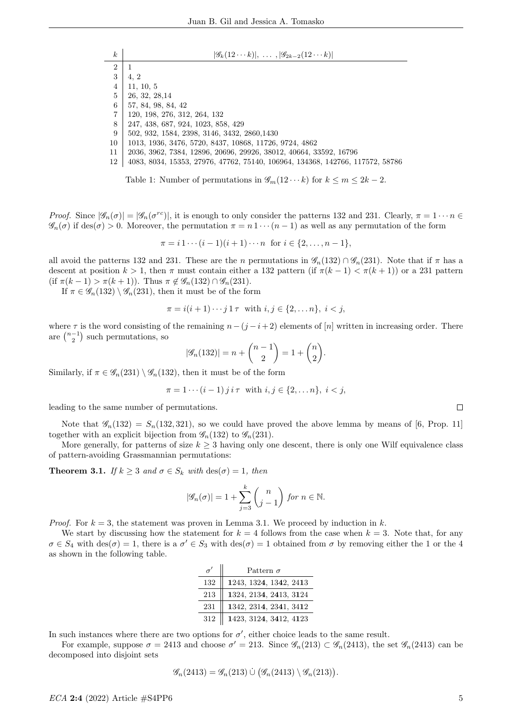| $\boldsymbol{k}$ | $ \mathscr{G}_k(12\cdots k) , \ldots,  \mathscr{G}_{2k-2}(12\cdots k) $       |
|------------------|-------------------------------------------------------------------------------|
| $\overline{2}$   |                                                                               |
| 3                | 4, 2                                                                          |
| $\overline{4}$   | 11, 10, 5                                                                     |
| $\overline{5}$   | 26, 32, 28, 14                                                                |
| 6                | 57, 84, 98, 84, 42                                                            |
| 7                | 120, 198, 276, 312, 264, 132                                                  |
| 8                | 247, 438, 687, 924, 1023, 858, 429                                            |
| 9                | 502, 932, 1584, 2398, 3146, 3432, 2860, 1430                                  |
| 10               | 1013, 1936, 3476, 5720, 8437, 10868, 11726, 9724, 4862                        |
| 11               | 2036, 3962, 7384, 12896, 20696, 29926, 38012, 40664, 33592, 16796             |
| 12               | 4083, 8034, 15353, 27976, 47762, 75140, 106964, 134368, 142766, 117572, 58786 |

Table 1: Number of permutations in  $\mathscr{G}_m(12 \cdots k)$  for  $k \leq m \leq 2k-2$ .

*Proof.* Since  $|\mathscr{G}_n(\sigma)| = |\mathscr{G}_n(\sigma^{rc})|$ , it is enough to only consider the patterns 132 and 231. Clearly,  $\pi = 1 \cdots n$   $\in$  $\mathscr{G}_n(\sigma)$  if des( $\sigma$ ) > 0. Moreover, the permutation  $\pi = n \cdot \cdots (n-1)$  as well as any permutation of the form

 $\pi = i \, 1 \cdots (i-1)(i+1) \cdots n$  for  $i \in \{2, \ldots, n-1\},$ 

all avoid the patterns 132 and 231. These are the n permutations in  $\mathscr{G}_n(132) \cap \mathscr{G}_n(231)$ . Note that if  $\pi$  has a descent at position  $k > 1$ , then  $\pi$  must contain either a 132 pattern (if  $\pi(k-1) < \pi(k+1)$ ) or a 231 pattern (if  $\pi(k-1) > \pi(k+1)$ ). Thus  $\pi \notin \mathscr{G}_n(132) \cap \mathscr{G}_n(231)$ .

If  $\pi \in \mathscr{G}_n(132) \setminus \mathscr{G}_n(231)$ , then it must be of the form

$$
\pi = i(i+1)\cdots j 1 \tau
$$
 with  $i, j \in \{2, ..., n\}, i < j$ ,

where  $\tau$  is the word consisting of the remaining  $n-(j-i+2)$  elements of [n] written in increasing order. There are  $\binom{n-1}{2}$  such permutations, so

$$
|\mathscr{G}_n(132)| = n + \binom{n-1}{2} = 1 + \binom{n}{2}.
$$

Similarly, if  $\pi \in \mathscr{G}_n(231) \setminus \mathscr{G}_n(132)$ , then it must be of the form

$$
\pi = 1 \cdots (i-1) j i \tau
$$
 with  $i, j \in \{2, \ldots n\}, i < j$ ,

leading to the same number of permutations.

Note that  $\mathscr{G}_n(132) = S_n(132, 321)$ , so we could have proved the above lemma by means of [6, Prop. 11] together with an explicit bijection from  $\mathscr{G}_n(132)$  to  $\mathscr{G}_n(231)$ .

More generally, for patterns of size  $k \geq 3$  having only one descent, there is only one Wilf equivalence class of pattern-avoiding Grassmannian permutations:

**Theorem 3.1.** If  $k \geq 3$  and  $\sigma \in S_k$  with  $\text{des}(\sigma) = 1$ , then

$$
|\mathscr{G}_n(\sigma)| = 1 + \sum_{j=3}^k \binom{n}{j-1} \text{ for } n \in \mathbb{N}.
$$

*Proof.* For  $k = 3$ , the statement was proven in Lemma 3.1. We proceed by induction in k.

We start by discussing how the statement for  $k = 4$  follows from the case when  $k = 3$ . Note that, for any  $\sigma \in S_4$  with  $\text{des}(\sigma) = 1$ , there is a  $\sigma' \in S_3$  with  $\text{des}(\sigma) = 1$  obtained from  $\sigma$  by removing either the 1 or the 4 as shown in the following table.

| $\sigma$ | Pattern $\sigma$       |
|----------|------------------------|
| 132      | 1243, 1324, 1342, 2413 |
| 213      | 1324, 2134, 2413, 3124 |
| 231      | 1342, 2314, 2341, 3412 |
| 312      | 1423, 3124, 3412, 4123 |

In such instances where there are two options for  $\sigma'$ , either choice leads to the same result.

For example, suppose  $\sigma = 2413$  and choose  $\sigma' = 213$ . Since  $\mathscr{G}_n(213) \subset \mathscr{G}_n(2413)$ , the set  $\mathscr{G}_n(2413)$  can be decomposed into disjoint sets

$$
\mathscr{G}_n(2413) = \mathscr{G}_n(213) \cup (\mathscr{G}_n(2413) \setminus \mathscr{G}_n(213)).
$$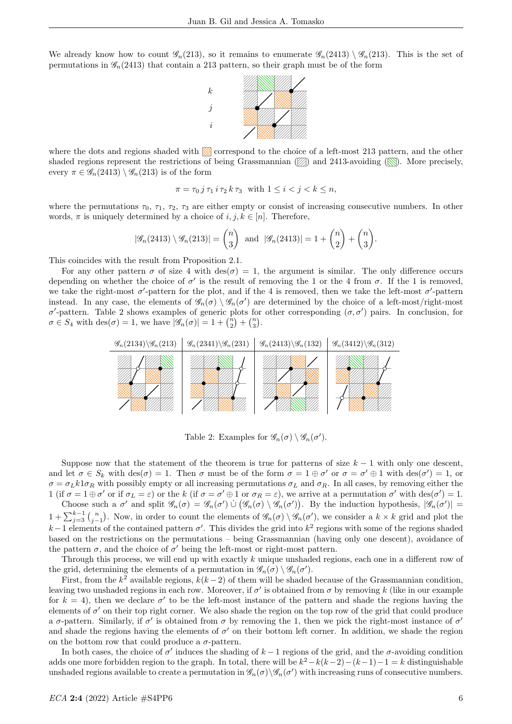We already know how to count  $\mathscr{G}_n(213)$ , so it remains to enumerate  $\mathscr{G}_n(2413) \setminus \mathscr{G}_n(213)$ . This is the set of permutations in  $\mathscr{G}_n(2413)$  that contain a 213 pattern, so their graph must be of the form



where the dots and regions shaded with  $\otimes$  correspond to the choice of a left-most 213 pattern, and the other shaded regions represent the restrictions of being Grassmannian  $(\mathbb{Z})$  and 2413-avoiding ( $\mathbb{N}$ ). More precisely, every  $\pi \in \mathscr{G}_n(2413) \setminus \mathscr{G}_n(213)$  is of the form

$$
\pi = \tau_0 \, j \, \tau_1 \, i \, \tau_2 \, k \, \tau_3 \quad \text{with } 1 \leq i < j < k \leq n,
$$

where the permutations  $\tau_0$ ,  $\tau_1$ ,  $\tau_2$ ,  $\tau_3$  are either empty or consist of increasing consecutive numbers. In other words,  $\pi$  is uniquely determined by a choice of  $i, j, k \in [n]$ . Therefore,

$$
|\mathscr{G}_n(2413) \setminus \mathscr{G}_n(213)| = \binom{n}{3} \text{ and } |\mathscr{G}_n(2413)| = 1 + \binom{n}{2} + \binom{n}{3}.
$$

This coincides with the result from Proposition 2.1.

For any other pattern  $\sigma$  of size 4 with des( $\sigma$ ) = 1, the argument is similar. The only difference occurs depending on whether the choice of  $\sigma'$  is the result of removing the 1 or the 4 from  $\sigma$ . If the 1 is removed, we take the right-most  $\sigma'$ -pattern for the plot, and if the 4 is removed, then we take the left-most  $\sigma'$ -pattern instead. In any case, the elements of  $\mathscr{G}_n(\sigma) \setminus \mathscr{G}_n(\sigma')$  are determined by the choice of a left-most/right-most σ'-pattern. Table 2 shows examples of generic plots for other corresponding  $(σ, σ')$  pairs. In conclusion, for  $\sigma \in S_4$  with  $\text{des}(\sigma) = 1$ , we have  $|\mathscr{G}_n(\sigma)| = 1 + \binom{n}{2} + \binom{n}{3}$ .



Table 2: Examples for  $\mathscr{G}_n(\sigma) \setminus \mathscr{G}_n(\sigma')$ .

Suppose now that the statement of the theorem is true for patterns of size  $k - 1$  with only one descent, and let  $\sigma \in S_k$  with  $\text{des}(\sigma) = 1$ . Then  $\sigma$  must be of the form  $\sigma = 1 \oplus \sigma'$  or  $\sigma = \sigma' \oplus 1$  with  $\text{des}(\sigma') = 1$ , or  $\sigma = \sigma_L k 1 \sigma_R$  with possibly empty or all increasing permutations  $\sigma_L$  and  $\sigma_R$ . In all cases, by removing either the 1 (if  $\sigma = 1 \oplus \sigma'$  or if  $\sigma_L = \varepsilon$ ) or the k (if  $\sigma = \sigma' \oplus 1$  or  $\sigma_R = \varepsilon$ ), we arrive at a permutation  $\sigma'$  with  $\text{des}(\sigma') = 1$ .

Choose such a  $\sigma'$  and split  $\mathscr{G}_n(\sigma) = \mathscr{G}_n(\sigma') \cup (\mathscr{G}_n(\sigma) \setminus \mathscr{G}_n(\sigma'))$ . By the induction hypothesis,  $|\mathscr{G}_n(\sigma')|$  $1 + \sum_{j=3}^{k-1} {n \choose j-1}$ . Now, in order to count the elements of  $\mathscr{G}_n(\sigma) \setminus \mathscr{G}_n(\sigma')$ , we consider a  $k \times k$  grid and plot the  $k-1$  elements of the contained pattern  $\sigma'$ . This divides the grid into  $k^2$  regions with some of the regions shaded based on the restrictions on the permutations – being Grassmannian (having only one descent), avoidance of the pattern  $\sigma$ , and the choice of  $\sigma'$  being the left-most or right-most pattern.

Through this process, we will end up with exactly k unique unshaded regions, each one in a different row of the grid, determining the elements of a permutation in  $\mathscr{G}_n(\sigma) \setminus \mathscr{G}_n(\sigma')$ .

First, from the  $k^2$  available regions,  $k(k-2)$  of them will be shaded because of the Grassmannian condition, leaving two unshaded regions in each row. Moreover, if  $\sigma'$  is obtained from  $\sigma$  by removing k (like in our example for  $k = 4$ ), then we declare  $\sigma'$  to be the left-most instance of the pattern and shade the regions having the elements of  $\sigma'$  on their top right corner. We also shade the region on the top row of the grid that could produce a  $\sigma$ -pattern. Similarly, if  $\sigma'$  is obtained from  $\sigma$  by removing the 1, then we pick the right-most instance of  $\sigma'$ and shade the regions having the elements of  $\sigma'$  on their bottom left corner. In addition, we shade the region on the bottom row that could produce a  $\sigma$ -pattern.

In both cases, the choice of  $\sigma'$  induces the shading of  $k-1$  regions of the grid, and the  $\sigma$ -avoiding condition adds one more forbidden region to the graph. In total, there will be  $k^2 - k(k-2) - (k-1) - 1 = k$  distinguishable unshaded regions available to create a permutation in  $\mathscr{G}_n(\sigma) \backslash \mathscr{G}_n(\sigma')$  with increasing runs of consecutive numbers.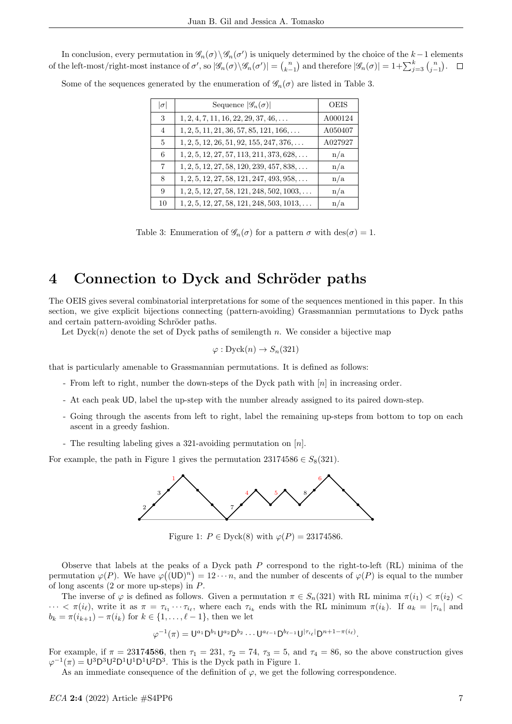In conclusion, every permutation in  $\mathscr{G}_n(\sigma) \setminus \mathscr{G}_n(\sigma')$  is uniquely determined by the choice of the  $k-1$  elements of the left-most/right-most instance of  $\sigma'$ , so  $|\mathscr{G}_n(\sigma)\backslash \mathscr{G}_n(\sigma')| = {n \choose k-1}$  and therefore  $|\mathscr{G}_n(\sigma)| = 1 + \sum_{j=3}^k {n \choose j-1}$ .

Some of the sequences generated by the enumeration of  $\mathscr{G}_n(\sigma)$  are listed in Table 3.

| $ \sigma $     | Sequence $ \mathscr{G}_n(\sigma) $                 | <b>OEIS</b> |
|----------------|----------------------------------------------------|-------------|
| 3              | $1, 2, 4, 7, 11, 16, 22, 29, 37, 46, \ldots$       | A000124     |
| $\overline{4}$ | $1, 2, 5, 11, 21, 36, 57, 85, 121, 166, \ldots$    | A050407     |
| $\mathbf{5}$   | $1, 2, 5, 12, 26, 51, 92, 155, 247, 376, \ldots$   | A027927     |
| 6              | $1, 2, 5, 12, 27, 57, 113, 211, 373, 628, \ldots$  | n/a         |
| $\overline{7}$ | $1, 2, 5, 12, 27, 58, 120, 239, 457, 838, \ldots$  | n/a         |
| 8              | $1, 2, 5, 12, 27, 58, 121, 247, 493, 958, \ldots$  | n/a         |
| 9              | $1, 2, 5, 12, 27, 58, 121, 248, 502, 1003, \ldots$ | n/a         |
| 10             | $1, 2, 5, 12, 27, 58, 121, 248, 503, 1013, \ldots$ | n/a         |

Table 3: Enumeration of  $\mathscr{G}_n(\sigma)$  for a pattern  $\sigma$  with  $\text{des}(\sigma) = 1$ .

# 4 Connection to Dyck and Schröder paths

The OEIS gives several combinatorial interpretations for some of the sequences mentioned in this paper. In this section, we give explicit bijections connecting (pattern-avoiding) Grassmannian permutations to Dyck paths and certain pattern-avoiding Schröder paths.

Let  $Dyck(n)$  denote the set of Dyck paths of semilength n. We consider a bijective map

$$
\varphi: \mathrm{Dyck}(n) \to S_n(321)
$$

that is particularly amenable to Grassmannian permutations. It is defined as follows:

- From left to right, number the down-steps of the Dyck path with [n] in increasing order.
- At each peak UD, label the up-step with the number already assigned to its paired down-step.
- Going through the ascents from left to right, label the remaining up-steps from bottom to top on each ascent in a greedy fashion.
- The resulting labeling gives a 321-avoiding permutation on [n].

For example, the path in Figure 1 gives the permutation  $23174586 \in S_8(321)$ .



Figure 1:  $P \in \text{Dyck}(8)$  with  $\varphi(P) = 23174586$ .

Observe that labels at the peaks of a Dyck path  $P$  correspond to the right-to-left (RL) minima of the permutation  $\varphi(P)$ . We have  $\varphi((UD)^n) = 12 \cdots n$ , and the number of descents of  $\varphi(P)$  is equal to the number of long ascents (2 or more up-steps) in P.

The inverse of  $\varphi$  is defined as follows. Given a permutation  $\pi \in S_n(321)$  with RL minima  $\pi(i_1) < \pi(i_2)$  $\cdots < \pi(i_\ell)$ , write it as  $\pi = \tau_{i_1} \cdots \tau_{i_\ell}$ , where each  $\tau_{i_k}$  ends with the RL minimum  $\pi(i_k)$ . If  $a_k = |\tau_{i_k}|$  and  $b_k = \pi(i_{k+1}) - \pi(i_k)$  for  $k \in \{1, ..., \ell - 1\}$ , then we let

$$
\varphi^{-1}(\pi) = U^{a_1} D^{b_1} U^{a_2} D^{b_2} \cdots U^{a_{\ell-1}} D^{b_{\ell-1}} U^{|\tau_i|} D^{n+1-\pi(i_{\ell})}.
$$

For example, if  $\pi = 23174586$ , then  $\tau_1 = 231$ ,  $\tau_2 = 74$ ,  $\tau_3 = 5$ , and  $\tau_4 = 86$ , so the above construction gives  $\varphi^{-1}(\pi) = U^3 D^3 U^2 D^1 U^1 D^1 U^2 D^3$ . This is the Dyck path in Figure 1.

As an immediate consequence of the definition of  $\varphi$ , we get the following correspondence.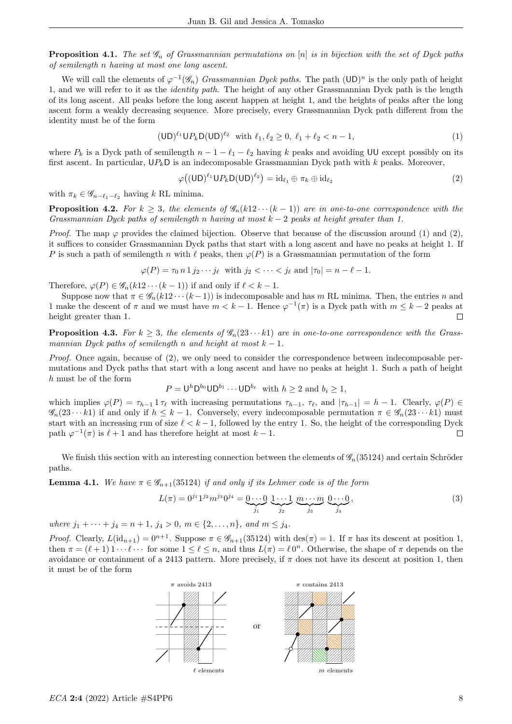**Proposition 4.1.** The set  $\mathscr{G}_n$  of Grassmannian permutations on [n] is in bijection with the set of Dyck paths of semilength n having at most one long ascent.

We will call the elements of  $\varphi^{-1}(\mathscr{G}_n)$  Grassmannian Dyck paths. The path  $(UD)^n$  is the only path of height 1, and we will refer to it as the identity path. The height of any other Grassmannian Dyck path is the length of its long ascent. All peaks before the long ascent happen at height 1, and the heights of peaks after the long ascent form a weakly decreasing sequence. More precisely, every Grassmannian Dyck path different from the identity must be of the form

$$
(\mathsf{UD})^{\ell_1} \mathsf{UP}_k \mathsf{D}(\mathsf{UD})^{\ell_2} \quad \text{with } \ell_1, \ell_2 \ge 0, \ \ell_1 + \ell_2 < n - 1,\tag{1}
$$

where  $P_k$  is a Dyck path of semilength  $n - 1 - \ell_1 - \ell_2$  having k peaks and avoiding UU except possibly on its first ascent. In particular,  $UP_kD$  is an indecomposable Grassmannian Dyck path with k peaks. Moreover,

$$
\varphi((\mathsf{UD})^{\ell_1}\mathsf{U} P_k\mathsf{D}(\mathsf{UD})^{\ell_2}) = \mathrm{id}_{\ell_1} \oplus \pi_k \oplus \mathrm{id}_{\ell_2} \tag{2}
$$

with  $\pi_k \in \mathscr{G}_{n-\ell_1-\ell_2}$  having k RL minima.

**Proposition 4.2.** For  $k \geq 3$ , the elements of  $\mathscr{G}_n(k12 \cdots (k-1))$  are in one-to-one correspondence with the Grassmannian Dyck paths of semilength n having at most  $k-2$  peaks at height greater than 1.

*Proof.* The map  $\varphi$  provides the claimed bijection. Observe that because of the discussion around (1) and (2), it suffices to consider Grassmannian Dyck paths that start with a long ascent and have no peaks at height 1. If P is such a path of semilength n with  $\ell$  peaks, then  $\varphi(P)$  is a Grassmannian permutation of the form

$$
\varphi(P) = \tau_0 n 1 j_2 \cdots j_\ell \text{ with } j_2 < \cdots < j_\ell \text{ and } |\tau_0| = n - \ell - 1.
$$

Therefore,  $\varphi(P) \in \mathscr{G}_n(k12\cdots (k-1))$  if and only if  $\ell < k - 1$ .

Suppose now that  $\pi \in \mathscr{G}_n(k_1 2 \cdots (k-1))$  is indecomposable and has m RL minima. Then, the entries n and 1 make the descent of  $\pi$  and we must have  $m < k - 1$ . Hence  $\varphi^{-1}(\pi)$  is a Dyck path with  $m \leq k - 2$  peaks at height greater than 1.  $\Box$ 

**Proposition 4.3.** For  $k \geq 3$ , the elements of  $\mathscr{G}_n(23 \cdots k1)$  are in one-to-one correspondence with the Grassmannian Dyck paths of semilength n and height at most  $k - 1$ .

Proof. Once again, because of (2), we only need to consider the correspondence between indecomposable permutations and Dyck paths that start with a long ascent and have no peaks at height 1. Such a path of height h must be of the form

$$
P = \bigcup^{h} \mathsf{D}^{b_0} \mathsf{U} \mathsf{D}^{b_1} \cdots \mathsf{U} \mathsf{D}^{b_\ell} \text{ with } h \geq 2 \text{ and } b_i \geq 1,
$$

which implies  $\varphi(P) = \tau_{h-1} 1 \tau_{\ell}$  with increasing permutations  $\tau_{h-1}, \tau_{\ell}$ , and  $|\tau_{h-1}| = h - 1$ . Clearly,  $\varphi(P) \in$  $\mathscr{G}_n(23 \cdots k1)$  if and only if  $h \leq k-1$ . Conversely, every indecomposable permutation  $\pi \in \mathscr{G}_n(23 \cdots k1)$  must start with an increasing run of size  $\ell < k - 1$ , followed by the entry 1. So, the height of the corresponding Dyck path  $\varphi^{-1}(\pi)$  is  $\ell + 1$  and has therefore height at most  $k - 1$ .  $\Box$ 

We finish this section with an interesting connection between the elements of  $\mathscr{G}_n(35124)$  and certain Schröder paths.

**Lemma 4.1.** We have  $\pi \in \mathscr{G}_{n+1}(35124)$  if and only if its Lehmer code is of the form

$$
L(\pi) = 0^{j_1} 1^{j_2} m^{j_3} 0^{j_4} = \underbrace{0 \cdots 0}_{j_1} \underbrace{1 \cdots 1}_{j_2} \underbrace{m \cdots m}_{j_3} \underbrace{0 \cdots 0}_{j_4}, \tag{3}
$$

where  $j_1 + \cdots + j_4 = n + 1$ ,  $j_4 > 0$ ,  $m \in \{2, \ldots, n\}$ , and  $m \leq j_4$ .

Proof. Clearly,  $L(\mathrm{id}_{n+1}) = 0^{n+1}$ . Suppose  $\pi \in \mathscr{G}_{n+1}(35124)$  with  $\mathrm{des}(\pi) = 1$ . If  $\pi$  has its descent at position 1, then  $\pi = (\ell + 1) 1 \cdots \ell \cdots$  for some  $1 \leq \ell \leq n$ , and thus  $L(\pi) = \ell 0^n$ . Otherwise, the shape of  $\pi$  depends on the avoidance or containment of a 2413 pattern. More precisely, if  $\pi$  does not have its descent at position 1, then it must be of the form

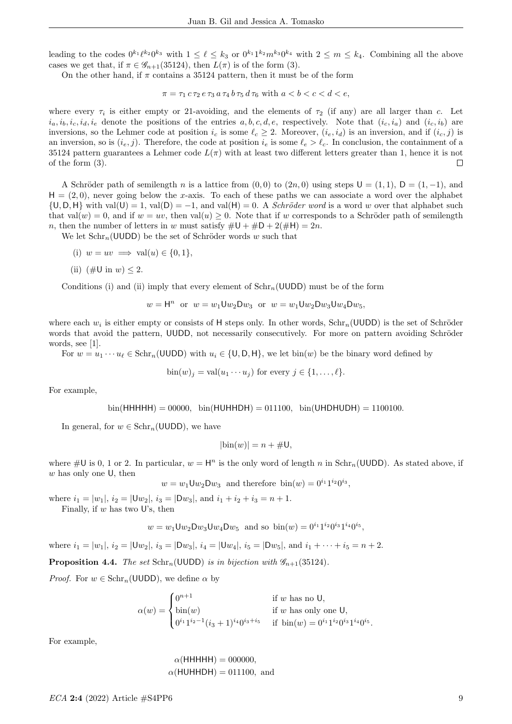leading to the codes  $0^{k_1} \ell^{k_2} 0^{k_3}$  with  $1 \leq \ell \leq k_3$  or  $0^{k_1} 1^{k_2} m^{k_3} 0^{k_4}$  with  $2 \leq m \leq k_4$ . Combining all the above cases we get that, if  $\pi \in \mathscr{G}_{n+1}(35124)$ , then  $L(\pi)$  is of the form (3).

On the other hand, if  $\pi$  contains a 35124 pattern, then it must be of the form

$$
\pi = \tau_1 c \tau_2 e \tau_3 a \tau_4 b \tau_5 d \tau_6 \text{ with } a < b < c < d < e,
$$

where every  $\tau_i$  is either empty or 21-avoiding, and the elements of  $\tau_2$  (if any) are all larger than c. Let  $i_a, i_b, i_c, i_d, i_e$  denote the positions of the entries  $a, b, c, d, e$ , respectively. Note that  $(i_c, i_a)$  and  $(i_c, i_b)$  are inversions, so the Lehmer code at position  $i_c$  is some  $\ell_c \geq 2$ . Moreover,  $(i_e, i_d)$  is an inversion, and if  $(i_c, j)$  is an inversion, so is  $(i_e, j)$ . Therefore, the code at position  $i_e$  is some  $\ell_e > \ell_c$ . In conclusion, the containment of a 35124 pattern guarantees a Lehmer code  $L(\pi)$  with at least two different letters greater than 1, hence it is not of the form (3).  $\Box$ 

A Schröder path of semilength n is a lattice from  $(0, 0)$  to  $(2n, 0)$  using steps  $U = (1, 1)$ ,  $D = (1, -1)$ , and  $H = (2, 0)$ , never going below the x-axis. To each of these paths we can associate a word over the alphabet  $\{U, D, H\}$  with val $(U) = 1$ , val $(D) = -1$ , and val $(H) = 0$ . A *Schröder word* is a word w over that alphabet such that  $val(w) = 0$ , and if  $w = uv$ , then  $val(u) \ge 0$ . Note that if w corresponds to a Schröder path of semilength n, then the number of letters in w must satisfy  $\#\mathsf{U} + \#\mathsf{D} + 2(\#\mathsf{H}) = 2n$ .

We let  $Schr_n(UUDD)$  be the set of Schröder words w such that

- (i)  $w = uv \implies \text{val}(u) \in \{0, 1\},\$
- (ii) (#U in  $w$ ) < 2.

Conditions (i) and (ii) imply that every element of  $Schr_n(UUDD)$  must be of the form

$$
w = H^n
$$
 or  $w = w_1 U w_2 D w_3$  or  $w = w_1 U w_2 D w_3 U w_4 D w_5$ ,

where each  $w_i$  is either empty or consists of H steps only. In other words,  $Schr_n(\text{UUDD})$  is the set of Schröder words that avoid the pattern, UUDD, not necessarily consecutively. For more on pattern avoiding Schröder words, see [1].

For  $w = u_1 \cdots u_\ell \in \text{Schr}_n(\text{UUDD})$  with  $u_i \in \{0, \text{D}, \text{H}\}\)$ , we let bin(w) be the binary word defined by

 $\text{bin}(w)_i = \text{val}(u_1 \cdots u_i)$  for every  $j \in \{1, \ldots, \ell\}.$ 

For example,

$$
bin(HHHHH) = 00000
$$
,  $bin(HUHHDH) = 011100$ ,  $bin(UHDHUDH) = 1100100$ .

In general, for  $w \in \text{Schr}_n(\text{UUDD})$ , we have

$$
|\text{bin}(w)| = n + \#U,
$$

where  $\#\mathsf{U}$  is 0, 1 or 2. In particular,  $w = \mathsf{H}^n$  is the only word of length n in  $\text{Schr}_n(\mathsf{UUDD})$ . As stated above, if  $w$  has only one  $U$ , then

 $w = w_1 \mathsf{U} w_2 \mathsf{D} w_3$  and therefore  $\text{bin}(w) = 0^{i_1} 1^{i_2} 0^{i_3}$ ,

where  $i_1 = |w_1|$ ,  $i_2 = |Uw_2|$ ,  $i_3 = |Dw_3|$ , and  $i_1 + i_2 + i_3 = n + 1$ . Finally, if w has two U's, then

$$
w = w_1 \mathsf{U} w_2 \mathsf{D} w_3 \mathsf{U} w_4 \mathsf{D} w_5
$$
 and so  $\text{bin}(w) = 0^{i_1} 1^{i_2} 0^{i_3} 1^{i_4} 0^{i_5}$ ,

where  $i_1 = |w_1|$ ,  $i_2 = |Uw_2|$ ,  $i_3 = |Dw_3|$ ,  $i_4 = |Uw_4|$ ,  $i_5 = |Dw_5|$ , and  $i_1 + \cdots + i_5 = n + 2$ .

**Proposition 4.4.** The set  $Schr_n(UUDD)$  is in bijection with  $\mathscr{G}_{n+1}(35124)$ .

*Proof.* For  $w \in \text{Schr}_n(\text{UUDD})$ , we define  $\alpha$  by

$$
\alpha(w) = \begin{cases} 0^{n+1} & \text{if } w \text{ has no } \mathsf{U}, \\ \text{bin}(w) & \text{if } w \text{ has only one } \mathsf{U}, \\ 0^{i_1} 1^{i_2 - 1} (i_3 + 1)^{i_4} 0^{i_3 + i_5} & \text{if } \text{bin}(w) = 0^{i_1} 1^{i_2} 0^{i_3} 1^{i_4} 0^{i_5}. \end{cases}
$$

For example,

 $\alpha$ (HHHHH) = 000000,  $\alpha$ (HUHHDH) = 011100, and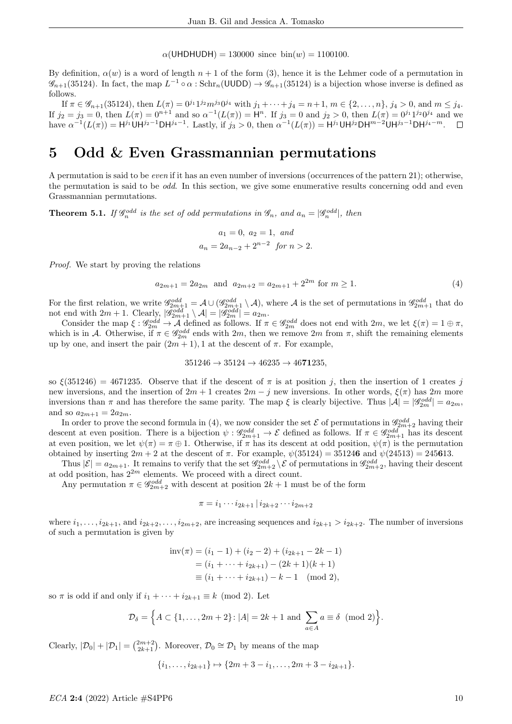$\alpha$ (UHDHUDH) = 130000 since bin(w) = 1100100.

By definition,  $\alpha(w)$  is a word of length  $n+1$  of the form (3), hence it is the Lehmer code of a permutation in  $\mathscr{G}_{n+1}(35124)$ . In fact, the map  $L^{-1} \circ \alpha$ : Schr<sub>n</sub>(UUDD)  $\to \mathscr{G}_{n+1}(35124)$  is a bijection whose inverse is defined as follows.

If  $\pi \in \mathscr{G}_{n+1}(35124)$ , then  $L(\pi) = 0^{j_1} 1^{j_2} m^{j_3} 0^{j_4}$  with  $j_1 + \cdots + j_4 = n+1$ ,  $m \in \{2, \ldots, n\}$ ,  $j_4 > 0$ , and  $m \leq j_4$ . If  $j_2 = j_3 = 0$ , then  $L(\pi) = 0^{n+1}$  and so  $\alpha^{-1}(L(\pi)) = H^n$ . If  $j_3 = 0$  and  $j_2 > 0$ , then  $L(\pi) = 0^{j_1} 1^{j_2} 0^{j_4}$  and we have  $\alpha^{-1}(L(\pi)) = H^{j_1} \cup H^{j_2-1} \cup H^{j_4-1}$ . Lastly, if  $j_3 > 0$ , then  $\alpha^{-1}(L(\pi)) = H^{j_1} \cup H^{j_2} \cup H^{m-2} \cup H^{j_3-1} \cup H^{j_4-m}$ .

## 5 Odd & Even Grassmannian permutations

A permutation is said to be even if it has an even number of inversions (occurrences of the pattern 21); otherwise, the permutation is said to be *odd*. In this section, we give some enumerative results concerning odd and even Grassmannian permutations.

**Theorem 5.1.** If  $\mathscr{G}_n^{odd}$  is the set of odd permutations in  $\mathscr{G}_n$ , and  $a_n = |\mathscr{G}_n^{odd}|$ , then

$$
a_1 = 0, a_2 = 1, and
$$
  
 $a_n = 2a_{n-2} + 2^{n-2} \text{ for } n > 2.$ 

Proof. We start by proving the relations

$$
a_{2m+1} = 2a_{2m} \text{ and } a_{2m+2} = a_{2m+1} + 2^{2m} \text{ for } m \ge 1.
$$
 (4)

For the first relation, we write  $\mathscr{G}_{2m+1}^{odd} = \mathcal{A} \cup (\mathscr{G}_{2m+1}^{odd} \setminus \mathcal{A})$ , where  $\mathcal{A}$  is the set of permutations in  $\mathscr{G}_{2m+1}^{odd}$  that do not end with  $2m + 1$ . Clearly,  $|\mathscr{G}_{2m+1}^{odd} \setminus \mathcal{A}| = |\mathscr{G}_{2m}^{odd}| = a_{2m}$ .

Consider the map  $\xi$  :  $\mathscr{G}_{2m}^{odd} \to A$  defined as follows. If  $\pi \in \mathscr{G}_{2m}^{odd}$  does not end with  $2m$ , we let  $\xi(\pi) = 1 \oplus \pi$ , which is in A. Otherwise, if  $\pi \in \mathcal{G}_{2m}^{odd}$  ends with  $2m$ , then we remove  $2m$  from  $\pi$ , shift the remaining elements up by one, and insert the pair  $(2m + 1)$ , 1 at the descent of  $\pi$ . For example,

$$
351246 \to 35124 \to 46235 \to 4671235,
$$

so  $\xi(351246) = 4671235$ . Observe that if the descent of  $\pi$  is at position j, then the insertion of 1 creates j new inversions, and the insertion of  $2m + 1$  creates  $2m - j$  new inversions. In other words,  $\xi(\pi)$  has  $2m$  more inversions than  $\pi$  and has therefore the same parity. The map  $\xi$  is clearly bijective. Thus  $|\mathcal{A}| = |\mathscr{G}_{2m}^{odd}| = a_{2m}$ , and so  $a_{2m+1} = 2a_{2m}$ .

In order to prove the second formula in (4), we now consider the set  $\mathcal E$  of permutations in  $\mathscr G_{2m+2}^{odd}$  having their descent at even position. There is a bijection  $\psi$  :  $\mathscr{G}_{2m+1}^{odd} \to \mathcal{E}$  defined as follows. If  $\pi \in \mathscr{G}_{2m+1}^{odd}$  has its descent at even position, we let  $\psi(\pi) = \pi \oplus 1$ . Otherwise, if  $\pi$  has its descent at odd position,  $\psi(\pi)$  is the permutation obtained by inserting  $2m + 2$  at the descent of  $\pi$ . For example,  $\psi(35124) = 351246$  and  $\psi(24513) = 245613$ .

Thus  $|\mathcal{E}| = a_{2m+1}$ . It remains to verify that the set  $\mathscr{G}^{odd}_{2m+2} \setminus \mathcal{E}$  of permutations in  $\mathscr{G}^{odd}_{2m+2}$ , having their descent at odd position, has  $2^{2m}$  elements. We proceed with a direct count.

Any permutation  $\pi \in \mathscr{G}_{2m+2}^{odd}$  with descent at position  $2k+1$  must be of the form

 $\pi = i_1 \cdots i_{2k+1} | i_{2k+2} \cdots i_{2m+2}$ 

where  $i_1, \ldots, i_{2k+1}$ , and  $i_{2k+2}, \ldots, i_{2m+2}$ , are increasing sequences and  $i_{2k+1} > i_{2k+2}$ . The number of inversions of such a permutation is given by

$$
inv(\pi) = (i_1 - 1) + (i_2 - 2) + (i_{2k+1} - 2k - 1)
$$
  
=  $(i_1 + \dots + i_{2k+1}) - (2k+1)(k+1)$   
\equiv  $(i_1 + \dots + i_{2k+1}) - k - 1 \pmod{2}$ ,

so  $\pi$  is odd if and only if  $i_1 + \cdots + i_{2k+1} \equiv k \pmod{2}$ . Let

$$
\mathcal{D}_{\delta} = \left\{ A \subset \{1, \ldots, 2m+2\} : |A| = 2k+1 \text{ and } \sum_{a \in A} a \equiv \delta \pmod{2} \right\}.
$$

Clearly,  $|\mathcal{D}_0| + |\mathcal{D}_1| = \binom{2m+2}{2k+1}$ . Moreover,  $\mathcal{D}_0 \cong \mathcal{D}_1$  by means of the map

$$
\{i_1,\ldots,i_{2k+1}\}\mapsto\{2m+3-i_1,\ldots,2m+3-i_{2k+1}\}.
$$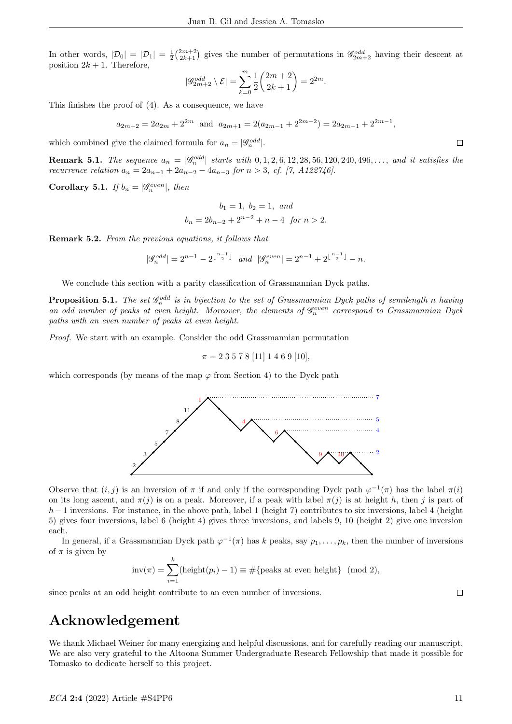In other words,  $|\mathcal{D}_0| = |\mathcal{D}_1| = \frac{1}{2} \binom{2m+2}{2k+1}$  gives the number of permutations in  $\mathscr{G}_{2m+2}^{odd}$  having their descent at position  $2k + 1$ . Therefore,

$$
|\mathscr{G}^{odd}_{2m+2}\setminus \mathcal{E}|=\sum_{k=0}^m\frac{1}{2}\binom{2m+2}{2k+1}=2^{2m}.
$$

This finishes the proof of (4). As a consequence, we have

$$
a_{2m+2} = 2a_{2m} + 2^{2m}
$$
 and  $a_{2m+1} = 2(a_{2m-1} + 2^{2m-2}) = 2a_{2m-1} + 2^{2m-1}$ ,

which combined give the claimed formula for  $a_n = |\mathscr{G}_n^{odd}|$ .

**Remark 5.1.** The sequence  $a_n = |\mathscr{G}_n^{odd}|$  starts with  $0, 1, 2, 6, 12, 28, 56, 120, 240, 496, \ldots$ , and it satisfies the recurrence relation  $a_n = 2a_{n-1} + 2a_{n-2} - 4a_{n-3}$  for  $n > 3$ , cf. [7, A122746].

Corollary 5.1. If  $b_n = |\mathscr{G}_n^{even}|$ , then

$$
b_1 = 1, b_2 = 1, and
$$
  
 $b_n = 2b_{n-2} + 2^{n-2} + n - 4 \text{ for } n > 2.$ 

Remark 5.2. From the previous equations, it follows that

$$
|\mathscr{G}_n^{odd}| = 2^{n-1} - 2^{\lfloor \frac{n-1}{2} \rfloor} \quad \text{and} \quad |\mathscr{G}_n^{even}| = 2^{n-1} + 2^{\lfloor \frac{n-1}{2} \rfloor} - n.
$$

We conclude this section with a parity classification of Grassmannian Dyck paths.

**Proposition 5.1.** The set  $\mathscr{G}_n^{odd}$  is in bijection to the set of Grassmannian Dyck paths of semilength n having an odd number of peaks at even height. Moreover, the elements of  $\mathscr{G}_n^{even}$  correspond to Grassmannian Dyck paths with an even number of peaks at even height.

Proof. We start with an example. Consider the odd Grassmannian permutation

$$
\pi = 2\ 3\ 5\ 7\ 8\ [11]\ 1\ 4\ 6\ 9\ [10],
$$

4

which corresponds (by means of the map  $\varphi$  from Section 4) to the Dyck path

1



6

In general, if a Grassmannian Dyck path  $\varphi^{-1}(\pi)$  has k peaks, say  $p_1, \ldots, p_k$ , then the number of inversions of  $\pi$  is given by

$$
inv(\pi) = \sum_{i=1}^{k} (height(p_i) - 1) \equiv #\{peaks at even height\} \pmod{2},
$$

since peaks at an odd height contribute to an even number of inversions.

 $\Box$ 

7

5 4

# Acknowledgement

We thank Michael Weiner for many energizing and helpful discussions, and for carefully reading our manuscript. We are also very grateful to the Altoona Summer Undergraduate Research Fellowship that made it possible for Tomasko to dedicate herself to this project.